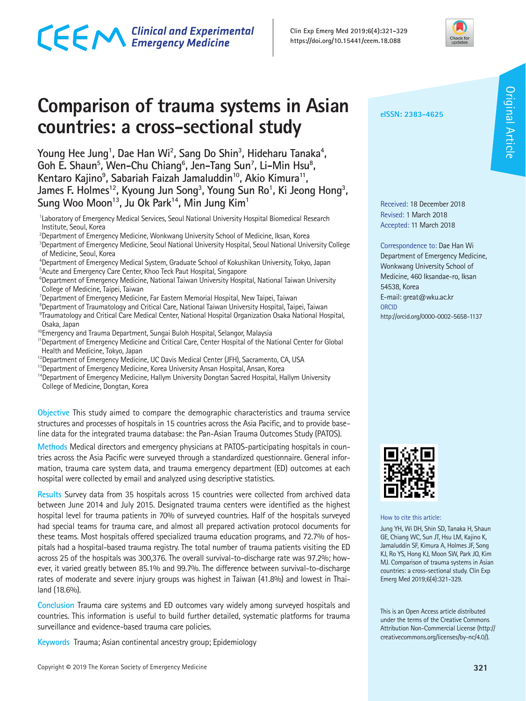# **Comparison of trauma systems in Asian countries: a cross-sectional study**

Young Hee Jung<sup>1</sup>, Dae Han Wi<sup>2</sup>, Sang Do Shin<sup>3</sup>, Hideharu Tanaka<sup>4</sup>, Goh E. Shaun<sup>5</sup>, Wen-Chu Chiang<sup>6</sup>, Jen-Tang Sun<sup>7</sup>, Li-Min Hsu<sup>8</sup>, **Kentaro Kajino9 , Sabariah Faizah Jamaluddin10, Akio Kimura11,**  James F. Holmes<sup>12</sup>, Kyoung Jun Song<sup>3</sup>, Young Sun Ro<sup>1</sup>, Ki Jeong Hong<sup>3</sup>, Sung Woo Moon<sup>13</sup>, Ju Ok Park<sup>14</sup>, Min Jung Kim<sup>1</sup>

<sup>1</sup> Laboratory of Emergency Medical Services, Seoul National University Hospital Biomedical Research Institute, Seoul, Korea

- <sup>2</sup>Department of Emergency Medicine, Wonkwang University School of Medicine, Iksan, Korea
- 3 Department of Emergency Medicine, Seoul National University Hospital, Seoul National University College of Medicine, Seoul, Korea
- 4 Department of Emergency Medical System, Graduate School of Kokushikan University, Tokyo, Japan 5 Acute and Emergency Care Center, Khoo Teck Paut Hospital, Singapore
- <sup>6</sup>Department of Emergency Medicine, National Taiwan University Hospital, National Taiwan University College of Medicine, Taipei, Taiwan
- 7 Department of Emergency Medicine, Far Eastern Memorial Hospital, New Taipei, Taiwan
- <sup>8</sup>Department of Traumatology and Critical Care, National Taiwan University Hospital, Taipei, Taiwan
- 9 Traumatology and Critical Care Medical Center, National Hospital Organization Osaka National Hospital, Osaka, Japan
- <sup>10</sup>Emergency and Trauma Department, Sungai Buloh Hospital, Selangor, Malaysia
- <sup>11</sup>Department of Emergency Medicine and Critical Care, Center Hospital of the National Center for Global Health and Medicine, Tokyo, Japan
- <sup>12</sup> Department of Emergency Medicine, UC Davis Medical Center (JFH), Sacramento, CA, USA
- <sup>13</sup>Department of Emergency Medicine, Korea University Ansan Hospital, Ansan, Korea
- <sup>14</sup>Department of Emergency Medicine, Hallym University Dongtan Sacred Hospital, Hallym University College of Medicine, Dongtan, Korea

**Objective** This study aimed to compare the demographic characteristics and trauma service structures and processes of hospitals in 15 countries across the Asia Pacific, and to provide baseline data for the integrated trauma database: the Pan-Asian Trauma Outcomes Study (PATOS).

**Methods** Medical directors and emergency physicians at PATOS-participating hospitals in countries across the Asia Pacific were surveyed through a standardized questionnaire. General information, trauma care system data, and trauma emergency department (ED) outcomes at each hospital were collected by email and analyzed using descriptive statistics.

**Results** Survey data from 35 hospitals across 15 countries were collected from archived data between June 2014 and July 2015. Designated trauma centers were identified as the highest hospital level for trauma patients in 70% of surveyed countries. Half of the hospitals surveyed had special teams for trauma care, and almost all prepared activation protocol documents for these teams. Most hospitals offered specialized trauma education programs, and 72.7% of hospitals had a hospital-based trauma registry. The total number of trauma patients visiting the ED across 25 of the hospitals was 300,376. The overall survival-to-discharge rate was 97.2%; however, it varied greatly between 85.1% and 99.7%. The difference between survival-to-discharge rates of moderate and severe injury groups was highest in Taiwan (41.8%) and lowest in Thailand (18.6%).

**Conclusion** Trauma care systems and ED outcomes vary widely among surveyed hospitals and countries. This information is useful to build further detailed, systematic platforms for trauma surveillance and evidence-based trauma care policies.

**Keywords** Trauma; Asian continental ancestry group; Epidemiology

**eISSN: 2383-4625**

**Clin Exp Emerg Med 2019;6(4):321-329 https://doi.org/10.15441/ceem.18.088**

> Received: 18 December 2018 Revised: 1 March 2018 Accepted: 11 March 2018

Correspondence to: Dae Han Wi Department of Emergency Medicine, Wonkwang University School of Medicine, 460 Iksandae-ro, Iksan 54538, Korea E-mail: great@wku.ac.kr ORCID http://orcid.org/0000-0002-5658-1137



How to cite this article:

Jung YH, Wi DH, Shin SD, Tanaka H, Shaun GE, Chiang WC, Sun JT, Hsu LM, Kajino K, Jamaluddin SF, Kimura A, Holmes JF, Song KJ, Ro YS, Hong KJ, Moon SW, Park JO, Kim MJ. Comparison of trauma systems in Asian countries: a cross-sectional study. Clin Exp Emerg Med 2019;6(4):321-329.

This is an Open Access article distributed under the terms of the Creative Commons Attribution Non-Commercial License (http:// creativecommons.org/licenses/by-nc/4.0/).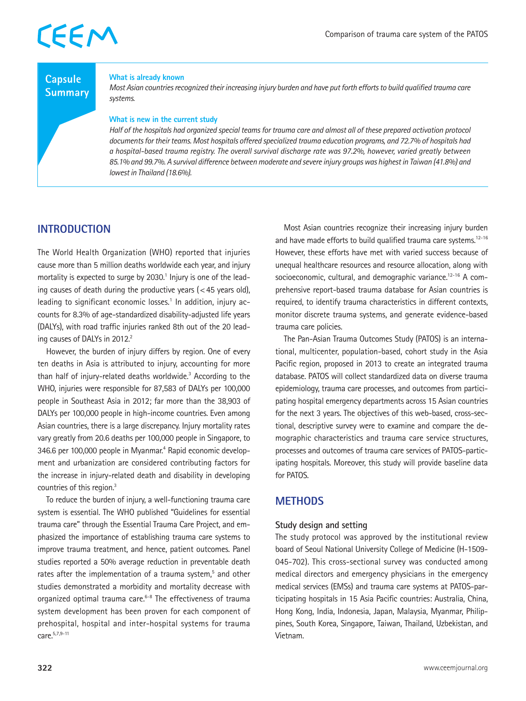### **Capsule Summary**

#### **What is already known**

*Most Asian countries recognized their increasing injury burden and have put forth efforts to build qualified trauma care systems.*

#### **What is new in the current study**

*Half of the hospitals had organized special teams for trauma care and almost all of these prepared activation protocol documents for their teams. Most hospitals offered specialized trauma education programs, and 72.7% of hospitals had a hospital-based trauma registry. The overall survival discharge rate was 97.2%, however, varied greatly between 85.1% and 99.7%. A survival difference between moderate and severe injury groups was highest in Taiwan (41.8%) and lowest in Thailand (18.6%).* 

### **INTRODUCTION**

The World Health Organization (WHO) reported that injuries cause more than 5 million deaths worldwide each year, and injury mortality is expected to surge by 2030.<sup>1</sup> Injury is one of the leading causes of death during the productive years  $\left($  < 45 years old), leading to significant economic losses.<sup>1</sup> In addition, injury accounts for 8.3% of age-standardized disability-adjusted life years (DALYs), with road traffic injuries ranked 8th out of the 20 leading causes of DALYs in 2012.<sup>2</sup>

However, the burden of injury differs by region. One of every ten deaths in Asia is attributed to injury, accounting for more than half of injury-related deaths worldwide.<sup>3</sup> According to the WHO, injuries were responsible for 87,583 of DALYs per 100,000 people in Southeast Asia in 2012; far more than the 38,903 of DALYs per 100,000 people in high-income countries. Even among Asian countries, there is a large discrepancy. Injury mortality rates vary greatly from 20.6 deaths per 100,000 people in Singapore, to 346.6 per 100,000 people in Myanmar.<sup>4</sup> Rapid economic development and urbanization are considered contributing factors for the increase in injury-related death and disability in developing countries of this region.3

To reduce the burden of injury, a well-functioning trauma care system is essential. The WHO published "Guidelines for essential trauma care" through the Essential Trauma Care Project, and emphasized the importance of establishing trauma care systems to improve trauma treatment, and hence, patient outcomes. Panel studies reported a 50% average reduction in preventable death rates after the implementation of a trauma system,<sup>5</sup> and other studies demonstrated a morbidity and mortality decrease with organized optimal trauma care.<sup>6-8</sup> The effectiveness of trauma system development has been proven for each component of prehospital, hospital and inter-hospital systems for trauma care.5,7,9-11

Most Asian countries recognize their increasing injury burden and have made efforts to build qualified trauma care systems.<sup>12-16</sup> However, these efforts have met with varied success because of unequal healthcare resources and resource allocation, along with socioeconomic, cultural, and demographic variance.<sup>12-16</sup> A comprehensive report-based trauma database for Asian countries is required, to identify trauma characteristics in different contexts, monitor discrete trauma systems, and generate evidence-based trauma care policies.

The Pan-Asian Trauma Outcomes Study (PATOS) is an international, multicenter, population-based, cohort study in the Asia Pacific region, proposed in 2013 to create an integrated trauma database. PATOS will collect standardized data on diverse trauma epidemiology, trauma care processes, and outcomes from participating hospital emergency departments across 15 Asian countries for the next 3 years. The objectives of this web-based, cross-sectional, descriptive survey were to examine and compare the demographic characteristics and trauma care service structures, processes and outcomes of trauma care services of PATOS-participating hospitals. Moreover, this study will provide baseline data for PATOS.

## **METHODS**

#### **Study design and setting**

The study protocol was approved by the institutional review board of Seoul National University College of Medicine (H-1509- 045-702). This cross-sectional survey was conducted among medical directors and emergency physicians in the emergency medical services (EMSs) and trauma care systems at PATOS-participating hospitals in 15 Asia Pacific countries: Australia, China, Hong Kong, India, Indonesia, Japan, Malaysia, Myanmar, Philippines, South Korea, Singapore, Taiwan, Thailand, Uzbekistan, and Vietnam.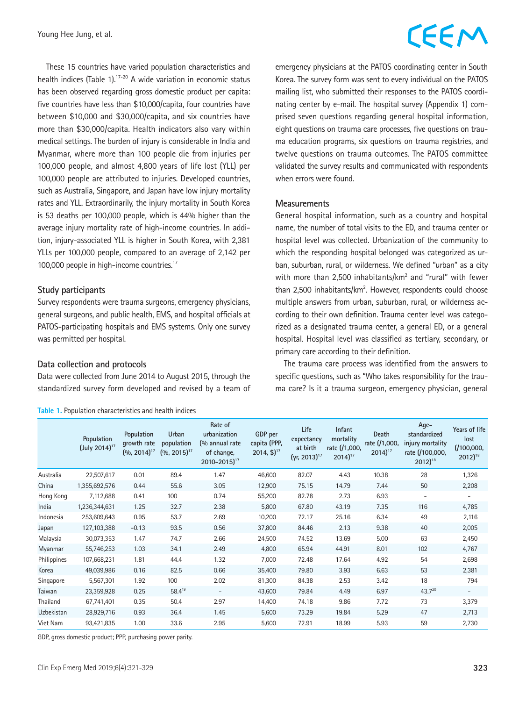These 15 countries have varied population characteristics and health indices (Table 1).<sup>17-20</sup> A wide variation in economic status has been observed regarding gross domestic product per capita: five countries have less than \$10,000/capita, four countries have between \$10,000 and \$30,000/capita, and six countries have more than \$30,000/capita. Health indicators also vary within medical settings. The burden of injury is considerable in India and Myanmar, where more than 100 people die from injuries per 100,000 people, and almost 4,800 years of life lost (YLL) per 100,000 people are attributed to injuries. Developed countries, such as Australia, Singapore, and Japan have low injury mortality rates and YLL. Extraordinarily, the injury mortality in South Korea is 53 deaths per 100,000 people, which is 44% higher than the average injury mortality rate of high-income countries. In addition, injury-associated YLL is higher in South Korea, with 2,381 YLLs per 100,000 people, compared to an average of 2,142 per 100,000 people in high-income countries.<sup>17</sup>

#### **Study participants**

Survey respondents were trauma surgeons, emergency physicians, general surgeons, and public health, EMS, and hospital officials at PATOS-participating hospitals and EMS systems. Only one survey was permitted per hospital.

#### **Data collection and protocols**

Data were collected from June 2014 to August 2015, through the standardized survey form developed and revised by a team of

#### **Table 1.** Population characteristics and health indices

# CEEM

emergency physicians at the PATOS coordinating center in South Korea. The survey form was sent to every individual on the PATOS mailing list, who submitted their responses to the PATOS coordinating center by e-mail. The hospital survey (Appendix 1) comprised seven questions regarding general hospital information, eight questions on trauma care processes, five questions on trauma education programs, six questions on trauma registries, and twelve questions on trauma outcomes. The PATOS committee validated the survey results and communicated with respondents when errors were found.

#### **Measurements**

General hospital information, such as a country and hospital name, the number of total visits to the ED, and trauma center or hospital level was collected. Urbanization of the community to which the responding hospital belonged was categorized as urban, suburban, rural, or wilderness. We defined "urban" as a city with more than 2,500 inhabitants/km<sup>2</sup> and "rural" with fewer than 2,500 inhabitants/km<sup>2</sup>. However, respondents could choose multiple answers from urban, suburban, rural, or wilderness according to their own definition. Trauma center level was categorized as a designated trauma center, a general ED, or a general hospital. Hospital level was classified as tertiary, secondary, or primary care according to their definition.

The trauma care process was identified from the answers to specific questions, such as "Who takes responsibility for the trauma care? Is it a trauma surgeon, emergency physician, general

|             | Population<br>(July 2014) <sup>17</sup> | Population<br>growth rate<br>$(9/0, 2014)^{17}$ | Urban<br>population<br>$(9/0, 2015)^{17}$ | Rate of<br>urbanization<br>(% annual rate<br>of change,<br>$2010 - 2015$ <sup>17</sup> | GDP per<br>capita (PPP,<br>$2014, \frac{6}{3}$ <sup>17</sup> | Life<br>expectancy<br>at birth<br>$(yr, 2013)^{17}$ | Infant<br>mortality<br>rate (/1,000,<br>$2014$ <sup>17</sup> | Death<br>rate (/1,000,<br>$2014$ <sup>17</sup> | Age-<br>standardized<br>injury mortality<br>rate (/100,000,<br>$2012$ <sup>18</sup> | Years of life<br>lost<br>(100,000,<br>$2012$ <sup>18</sup> |
|-------------|-----------------------------------------|-------------------------------------------------|-------------------------------------------|----------------------------------------------------------------------------------------|--------------------------------------------------------------|-----------------------------------------------------|--------------------------------------------------------------|------------------------------------------------|-------------------------------------------------------------------------------------|------------------------------------------------------------|
| Australia   | 22,507,617                              | 0.01                                            | 89.4                                      | 1.47                                                                                   | 46,600                                                       | 82.07                                               | 4.43                                                         | 10.38                                          | 28                                                                                  | 1,326                                                      |
| China       | 1,355,692,576                           | 0.44                                            | 55.6                                      | 3.05                                                                                   | 12,900                                                       | 75.15                                               | 14.79                                                        | 7.44                                           | 50                                                                                  | 2,208                                                      |
| Hong Kong   | 7,112,688                               | 0.41                                            | 100                                       | 0.74                                                                                   | 55,200                                                       | 82.78                                               | 2.73                                                         | 6.93                                           | $\overline{\phantom{a}}$                                                            | $\overline{\phantom{a}}$                                   |
| India       | 1,236,344,631                           | 1.25                                            | 32.7                                      | 2.38                                                                                   | 5,800                                                        | 67.80                                               | 43.19                                                        | 7.35                                           | 116                                                                                 | 4,785                                                      |
| Indonesia   | 253,609,643                             | 0.95                                            | 53.7                                      | 2.69                                                                                   | 10,200                                                       | 72.17                                               | 25.16                                                        | 6.34                                           | 49                                                                                  | 2,116                                                      |
| Japan       | 127, 103, 388                           | $-0.13$                                         | 93.5                                      | 0.56                                                                                   | 37,800                                                       | 84.46                                               | 2.13                                                         | 9.38                                           | 40                                                                                  | 2,005                                                      |
| Malaysia    | 30,073,353                              | 1.47                                            | 74.7                                      | 2.66                                                                                   | 24,500                                                       | 74.52                                               | 13.69                                                        | 5.00                                           | 63                                                                                  | 2,450                                                      |
| Myanmar     | 55,746,253                              | 1.03                                            | 34.1                                      | 2.49                                                                                   | 4,800                                                        | 65.94                                               | 44.91                                                        | 8.01                                           | 102                                                                                 | 4,767                                                      |
| Philippines | 107,668,231                             | 1.81                                            | 44.4                                      | 1.32                                                                                   | 7,000                                                        | 72.48                                               | 17.64                                                        | 4.92                                           | 54                                                                                  | 2,698                                                      |
| Korea       | 49,039,986                              | 0.16                                            | 82.5                                      | 0.66                                                                                   | 35,400                                                       | 79.80                                               | 3.93                                                         | 6.63                                           | 53                                                                                  | 2,381                                                      |
| Singapore   | 5,567,301                               | 1.92                                            | 100                                       | 2.02                                                                                   | 81,300                                                       | 84.38                                               | 2.53                                                         | 3.42                                           | 18                                                                                  | 794                                                        |
| Taiwan      | 23,359,928                              | 0.25                                            | $58.4^{19}$                               | $\overline{\phantom{0}}$                                                               | 43,600                                                       | 79.84                                               | 4.49                                                         | 6.97                                           | $43.7^{20}$                                                                         | $-$                                                        |
| Thailand    | 67,741,401                              | 0.35                                            | 50.4                                      | 2.97                                                                                   | 14,400                                                       | 74.18                                               | 9.86                                                         | 7.72                                           | 73                                                                                  | 3,379                                                      |
| Uzbekistan  | 28,929,716                              | 0.93                                            | 36.4                                      | 1.45                                                                                   | 5,600                                                        | 73.29                                               | 19.84                                                        | 5.29                                           | 47                                                                                  | 2,713                                                      |
| Viet Nam    | 93,421,835                              | 1.00                                            | 33.6                                      | 2.95                                                                                   | 5,600                                                        | 72.91                                               | 18.99                                                        | 5.93                                           | 59                                                                                  | 2,730                                                      |

GDP, gross domestic product; PPP, purchasing power parity.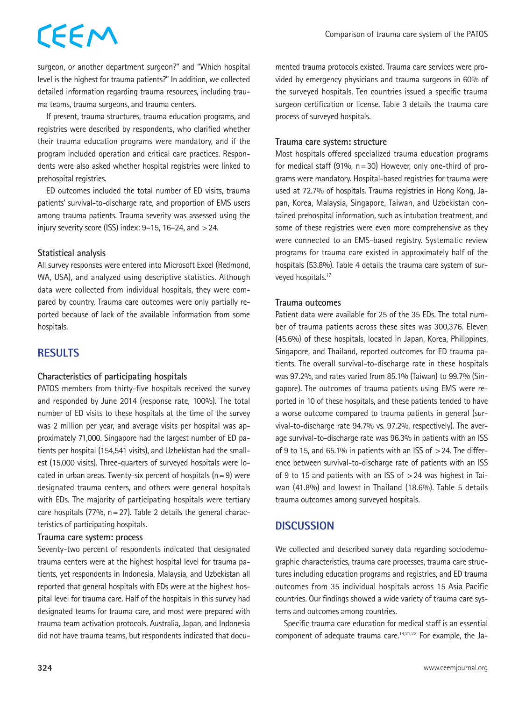surgeon, or another department surgeon?" and "Which hospital level is the highest for trauma patients?" In addition, we collected detailed information regarding trauma resources, including trauma teams, trauma surgeons, and trauma centers.

If present, trauma structures, trauma education programs, and registries were described by respondents, who clarified whether their trauma education programs were mandatory, and if the program included operation and critical care practices. Respondents were also asked whether hospital registries were linked to prehospital registries.

ED outcomes included the total number of ED visits, trauma patients' survival-to-discharge rate, and proportion of EMS users among trauma patients. Trauma severity was assessed using the injury severity score (ISS) index:  $9-15$ ,  $16-24$ , and  $>24$ .

#### **Statistical analysis**

All survey responses were entered into Microsoft Excel (Redmond, WA, USA), and analyzed using descriptive statistics. Although data were collected from individual hospitals, they were compared by country. Trauma care outcomes were only partially reported because of lack of the available information from some hospitals.

### **RESULTS**

#### **Characteristics of participating hospitals**

PATOS members from thirty-five hospitals received the survey and responded by June 2014 (response rate, 100%). The total number of ED visits to these hospitals at the time of the survey was 2 million per year, and average visits per hospital was approximately 71,000. Singapore had the largest number of ED patients per hospital (154,541 visits), and Uzbekistan had the smallest (15,000 visits). Three-quarters of surveyed hospitals were located in urban areas. Twenty-six percent of hospitals  $(n=9)$  were designated trauma centers, and others were general hospitals with EDs. The majority of participating hospitals were tertiary care hospitals (77%,  $n=27$ ). Table 2 details the general characteristics of participating hospitals.

#### **Trauma care system: process**

Seventy-two percent of respondents indicated that designated trauma centers were at the highest hospital level for trauma patients, yet respondents in Indonesia, Malaysia, and Uzbekistan all reported that general hospitals with EDs were at the highest hospital level for trauma care. Half of the hospitals in this survey had designated teams for trauma care, and most were prepared with trauma team activation protocols. Australia, Japan, and Indonesia did not have trauma teams, but respondents indicated that documented trauma protocols existed. Trauma care services were provided by emergency physicians and trauma surgeons in 60% of the surveyed hospitals. Ten countries issued a specific trauma surgeon certification or license. Table 3 details the trauma care process of surveyed hospitals.

#### **Trauma care system: structure**

Most hospitals offered specialized trauma education programs for medical staff (91%,  $n=30$ ) However, only one-third of programs were mandatory. Hospital-based registries for trauma were used at 72.7% of hospitals. Trauma registries in Hong Kong, Japan, Korea, Malaysia, Singapore, Taiwan, and Uzbekistan contained prehospital information, such as intubation treatment, and some of these registries were even more comprehensive as they were connected to an EMS-based registry. Systematic review programs for trauma care existed in approximately half of the hospitals (53.8%). Table 4 details the trauma care system of surveyed hospitals.<sup>17</sup>

#### **Trauma outcomes**

Patient data were available for 25 of the 35 EDs. The total number of trauma patients across these sites was 300,376. Eleven (45.6%) of these hospitals, located in Japan, Korea, Philippines, Singapore, and Thailand, reported outcomes for ED trauma patients. The overall survival-to-discharge rate in these hospitals was 97.2%, and rates varied from 85.1% (Taiwan) to 99.7% (Singapore). The outcomes of trauma patients using EMS were reported in 10 of these hospitals, and these patients tended to have a worse outcome compared to trauma patients in general (survival-to-discharge rate 94.7% vs. 97.2%, respectively). The average survival-to-discharge rate was 96.3% in patients with an ISS of 9 to 15, and 65.1% in patients with an ISS of  $>$  24. The difference between survival-to-discharge rate of patients with an ISS of 9 to 15 and patients with an ISS of >24 was highest in Taiwan (41.8%) and lowest in Thailand (18.6%). Table 5 details trauma outcomes among surveyed hospitals.

### **DISCUSSION**

We collected and described survey data regarding sociodemographic characteristics, trauma care processes, trauma care structures including education programs and registries, and ED trauma outcomes from 35 individual hospitals across 15 Asia Pacific countries. Our findings showed a wide variety of trauma care systems and outcomes among countries.

Specific trauma care education for medical staff is an essential component of adequate trauma care.<sup>14,21,22</sup> For example, the Ja-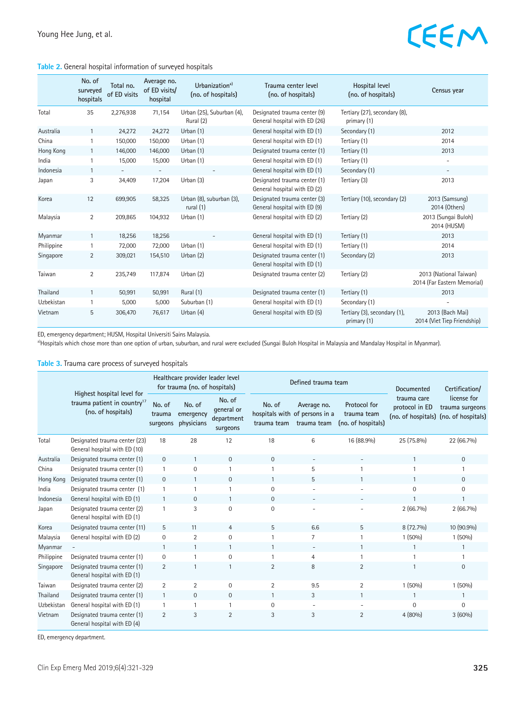#### **Table 2.** General hospital information of surveyed hospitals

|            | No. of<br>surveyed<br>hospitals | Total no.<br>of ED visits | Average no.<br>of ED visits/<br>hospital | Urbanization <sup>a)</sup><br>(no. of hospitals) | Trauma center level<br>(no. of hospitals)                     | Hospital level<br>(no. of hospitals)         | Census year                                           |
|------------|---------------------------------|---------------------------|------------------------------------------|--------------------------------------------------|---------------------------------------------------------------|----------------------------------------------|-------------------------------------------------------|
| Total      | 35                              | 2,276,938                 | 71,154                                   | Urban (25), Suburban (4),<br>Rural (2)           | Designated trauma center (9)<br>General hospital with ED (26) | Tertiary (27), secondary (8),<br>primary (1) |                                                       |
| Australia  | $\mathbf{1}$                    | 24,272                    | 24,272                                   | Urban $(1)$                                      | General hospital with ED (1)                                  | Secondary (1)                                | 2012                                                  |
| China      | 1                               | 150,000                   | 150,000                                  | Urban (1)                                        | General hospital with ED (1)                                  | Tertiary (1)                                 | 2014                                                  |
| Hong Kong  | $\mathbf{1}$                    | 146,000                   | 146,000                                  | Urban $(1)$                                      | Designated trauma center (1)                                  | Tertiary (1)                                 | 2013                                                  |
| India      | $\mathbf{1}$                    | 15,000                    | 15,000                                   | Urban $(1)$                                      | General hospital with ED (1)                                  | Tertiary (1)                                 | $\overline{\phantom{a}}$                              |
| Indonesia  | $\mathbf{1}$                    | $\overline{\phantom{0}}$  | $\overline{\phantom{a}}$                 |                                                  | General hospital with ED (1)                                  | Secondary (1)                                | $\overline{\phantom{a}}$                              |
| Japan      | 3                               | 34,409                    | 17,204                                   | Urban (3)                                        | Designated trauma center (1)<br>General hospital with ED (2)  | Tertiary (3)                                 | 2013                                                  |
| Korea      | 12                              | 699,905                   | 58,325                                   | Urban (8), suburban (3),<br>rural $(1)$          | Designated trauma center (3)<br>General hospital with ED (9)  | Tertiary (10), secondary (2)                 | 2013 (Samsung)<br>2014 (Others)                       |
| Malaysia   | $\overline{2}$                  | 209,865                   | 104,932                                  | Urban (1)                                        | General hospital with ED (2)                                  | Tertiary (2)                                 | 2013 (Sungai Buloh)<br>2014 (HUSM)                    |
| Myanmar    | $\mathbf{1}$                    | 18,256                    | 18,256                                   | $\overline{\phantom{a}}$                         | General hospital with ED (1)                                  | Tertiary (1)                                 | 2013                                                  |
| Philippine | 1                               | 72,000                    | 72,000                                   | Urban (1)                                        | General hospital with ED (1)                                  | Tertiary (1)                                 | 2014                                                  |
| Singapore  | $\overline{2}$                  | 309,021                   | 154,510                                  | Urban $(2)$                                      | Designated trauma center (1)<br>General hospital with ED (1)  | Secondary (2)                                | 2013                                                  |
| Taiwan     | 2                               | 235,749                   | 117,874                                  | Urban (2)                                        | Designated trauma center (2)                                  | Tertiary (2)                                 | 2013 (National Taiwan)<br>2014 (Far Eastern Memorial) |
| Thailand   | $\mathbf{1}$                    | 50,991                    | 50,991                                   | Rural (1)                                        | Designated trauma center (1)                                  | Tertiary (1)                                 | 2013                                                  |
| Uzbekistan |                                 | 5,000                     | 5,000                                    | Suburban (1)                                     | General hospital with ED (1)                                  | Secondary (1)                                |                                                       |
| Vietnam    | 5                               | 306,470                   | 76,617                                   | Urban $(4)$                                      | General hospital with ED (5)                                  | Tertiary (3), secondary (1),<br>primary (1)  | 2013 (Bach Mai)<br>2014 (Viet Tiep Friendship)        |

ED, emergency department; HUSM, Hospital Universiti Sains Malaysia.

a)Hospitals which chose more than one option of urban, suburban, and rural were excluded (Sungai Buloh Hospital in Malaysia and Mandalay Hospital in Myanmar).

#### **Table 3.** Trauma care process of surveyed hospitals

|            |                                                                                             |                              | Healthcare provider leader level<br>for trauma (no. of hospitals) |                                                |                                         | Defined trauma team                           | Documented                                        | Certification/                |                                                                         |  |
|------------|---------------------------------------------------------------------------------------------|------------------------------|-------------------------------------------------------------------|------------------------------------------------|-----------------------------------------|-----------------------------------------------|---------------------------------------------------|-------------------------------|-------------------------------------------------------------------------|--|
|            | Highest hospital level for<br>trauma patient in country <sup>17</sup><br>(no. of hospitals) | No. of<br>trauma<br>surgeons | No. of<br>emergency<br>physicians                                 | No. of<br>general or<br>department<br>surgeons | No. of<br>hospitals with<br>trauma team | Average no.<br>of persons in a<br>trauma team | Protocol for<br>trauma team<br>(no. of hospitals) | trauma care<br>protocol in ED | license for<br>trauma surgeons<br>(no. of hospitals) (no. of hospitals) |  |
| Total      | Designated trauma center (23)<br>General hospital with ED (10)                              | 18                           | 28                                                                | 12                                             | 18                                      | 6                                             | 16 (88.9%)                                        | 25 (75.8%)                    | 22 (66.7%)                                                              |  |
| Australia  | Designated trauma center (1)                                                                | $\mathbf 0$                  | $\mathbf{1}$                                                      | $\mathbf{0}$                                   | $\Omega$                                |                                               |                                                   | $\mathbf{1}$                  | $\mathbf 0$                                                             |  |
| China      | Designated trauma center (1)                                                                | $\mathbf{1}$                 | $\boldsymbol{0}$                                                  |                                                |                                         | 5                                             | $\overline{1}$                                    |                               | $\mathbf{1}$                                                            |  |
| Hong Kong  | Designated trauma center (1)                                                                | $\mathbf{0}$                 | $\mathbf{1}$                                                      | $\mathbf{0}$                                   | $\mathbf{1}$                            | 5                                             | $\mathbf{1}$                                      | $\mathbf{1}$                  | $\mathbf 0$                                                             |  |
| India      | Designated trauma center (1)                                                                |                              | $\mathbf{1}$                                                      |                                                | $\Omega$                                |                                               |                                                   | 0                             | $\mathbf{0}$                                                            |  |
| Indonesia  | General hospital with ED (1)                                                                | $\mathbf{1}$                 | $\mathbf{0}$                                                      | $\mathbf{1}$                                   | $\Omega$                                |                                               | $\overline{\phantom{a}}$                          |                               | $\mathbf{1}$                                                            |  |
| Japan      | Designated trauma center (2)<br>General hospital with ED (1)                                | 1                            | 3                                                                 | $\Omega$                                       | $\mathbf 0$                             |                                               |                                                   | $2(66.7\%)$                   | $2(66.7\%)$                                                             |  |
| Korea      | Designated trauma center (11)                                                               | 5                            | 11                                                                | $\overline{4}$                                 | 5                                       | 6.6                                           | 5                                                 | 8 (72.7%)                     | 10 (90.9%)                                                              |  |
| Malaysia   | General hospital with ED (2)                                                                | $\mathbf 0$                  | $\overline{2}$                                                    | $\mathbf 0$                                    |                                         | $\overline{7}$                                | $\overline{1}$                                    | 1 (50%)                       | 1(50%)                                                                  |  |
| Myanmar    |                                                                                             | $\mathbf{1}$                 | $\mathbf{1}$                                                      | $\mathbf{1}$                                   | 1                                       | $\overline{\phantom{0}}$                      | $\mathbf{1}$                                      | $\mathbf{1}$                  | 1                                                                       |  |
| Philippine | Designated trauma center (1)                                                                | $\mathbf 0$                  | $\mathbf{1}$                                                      | 0                                              |                                         | $\overline{4}$                                | $\mathbf{1}$                                      |                               | $\mathbf{1}$                                                            |  |
| Singapore  | Designated trauma center (1)<br>General hospital with ED (1)                                | $\overline{2}$               | $\mathbf{1}$                                                      |                                                | $\overline{2}$                          | 8                                             | $\overline{2}$                                    |                               | $\overline{0}$                                                          |  |
| Taiwan     | Designated trauma center (2)                                                                | 2                            | 2                                                                 | $\mathbf{0}$                                   | 2                                       | 9.5                                           | $\overline{2}$                                    | 1 (50%)                       | 1(50%)                                                                  |  |
| Thailand   | Designated trauma center (1)                                                                | $\mathbf{1}$                 | $\mathbf{0}$                                                      | $\mathbf{0}$                                   | $\mathbf{1}$                            | 3                                             | 1                                                 | $\mathbf{1}$                  | 1                                                                       |  |
| Uzbekistan | General hospital with ED (1)                                                                |                              | $\mathbf{1}$                                                      |                                                | $\Omega$                                |                                               |                                                   | $\Omega$                      | $\mathbf 0$                                                             |  |
| Vietnam    | Designated trauma center (1)<br>General hospital with ED (4)                                | $\overline{2}$               | 3                                                                 | $\overline{2}$                                 | 3                                       | 3                                             | $\overline{2}$                                    | 4(80%)                        | 3(60%)                                                                  |  |

ED, emergency department.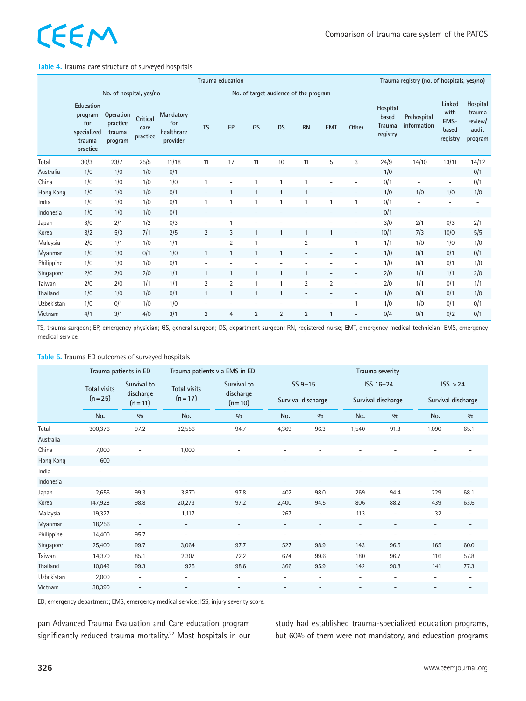#### **Table 4.** Trauma care structure of surveyed hospitals

|            | Trauma education                                                 |                                            |                              |                                            |                          |                          |                          |                          |                          |                          |                          | Trauma registry (no. of hospitals, yes/no)     |                            |                                             |                                                   |
|------------|------------------------------------------------------------------|--------------------------------------------|------------------------------|--------------------------------------------|--------------------------|--------------------------|--------------------------|--------------------------|--------------------------|--------------------------|--------------------------|------------------------------------------------|----------------------------|---------------------------------------------|---------------------------------------------------|
|            | No. of hospital, yes/no                                          | No. of target audience of the program      |                              |                                            |                          |                          |                          |                          |                          |                          |                          |                                                |                            |                                             |                                                   |
|            | Education<br>program<br>for<br>specialized<br>trauma<br>practice | Operation<br>practice<br>trauma<br>program | Critical<br>care<br>practice | Mandatory<br>for<br>healthcare<br>provider | <b>TS</b>                | EP                       | GS                       | <b>DS</b>                | <b>RN</b>                | <b>EMT</b>               | Other                    | Hospital<br>based<br><b>Trauma</b><br>registry | Prehospital<br>information | Linked<br>with<br>EMS-<br>based<br>registry | Hospital<br>trauma<br>review/<br>audit<br>program |
| Total      | 30/3                                                             | 23/7                                       | 25/5                         | 11/18                                      | 11                       | 17                       | 11                       | 10                       | 11                       | 5                        | 3                        | 24/9                                           | 14/10                      | 13/11                                       | 14/12                                             |
| Australia  | 1/0                                                              | 1/0                                        | 1/0                          | 0/1                                        | $\overline{\phantom{0}}$ | $\overline{\phantom{a}}$ | $\overline{\phantom{a}}$ | $\overline{\phantom{0}}$ | $\overline{\phantom{a}}$ | $\overline{\phantom{a}}$ | $\overline{\phantom{a}}$ | 1/0                                            | $\overline{\phantom{0}}$   | $\overline{\phantom{a}}$                    | 0/1                                               |
| China      | 1/0                                                              | 1/0                                        | 1/0                          | 1/0                                        | $\mathbf{1}$             | $\overline{\phantom{a}}$ | $\mathbf{1}$             | 1                        | $\mathbf{1}$             | $\overline{a}$           | $\overline{\phantom{a}}$ | 0/1                                            | $\overline{\phantom{0}}$   | $\overline{\phantom{a}}$                    | 0/1                                               |
| Hong Kong  | 1/0                                                              | 1/0                                        | 1/0                          | 0/1                                        | $\overline{\phantom{a}}$ | 1                        | $\mathbf{1}$             | $\mathbf{1}$             | $\mathbf{1}$             | $\overline{\phantom{a}}$ | $\overline{\phantom{a}}$ | 1/0                                            | 1/0                        | 1/0                                         | 1/0                                               |
| India      | 1/0                                                              | 1/0                                        | 1/0                          | 0/1                                        |                          | 1                        | $\mathbf{1}$             | 1                        |                          | $\mathbf{1}$             | $\mathbf{1}$             | 0/1                                            | $\overline{\phantom{0}}$   | $\overline{\phantom{a}}$                    | ٠                                                 |
| Indonesia  | 1/0                                                              | 1/0                                        | 1/0                          | 0/1                                        | -                        | $\overline{\phantom{0}}$ | ٠                        | $\overline{\phantom{0}}$ | ۰                        | $\overline{\phantom{a}}$ | ٠                        | 0/1                                            | $\overline{\phantom{0}}$   | $\overline{\phantom{a}}$                    |                                                   |
| Japan      | 3/0                                                              | 2/1                                        | 1/2                          | 0/3                                        | $\overline{\phantom{m}}$ |                          | ٠                        |                          |                          |                          |                          | 3/0                                            | 2/1                        | 0/3                                         | 2/1                                               |
| Korea      | 8/2                                                              | 5/3                                        | 7/1                          | 2/5                                        | $\overline{2}$           | 3                        | $\mathbf{1}$             | $\mathbf{1}$             | $\mathbf{1}$             | 1                        | $\overline{\phantom{a}}$ | 10/1                                           | 7/3                        | 10/0                                        | 5/5                                               |
| Malaysia   | 2/0                                                              | 1/1                                        | 1/0                          | 1/1                                        | $\bar{ }$                | $\overline{2}$           | 1                        | $\overline{\phantom{a}}$ | $\overline{2}$           | ÷                        |                          | 1/1                                            | 1/0                        | 1/0                                         | 1/0                                               |
| Myanmar    | 1/0                                                              | 1/0                                        | 0/1                          | 1/0                                        |                          | 1                        | $\mathbf{1}$             | $\mathbf{1}$             | $\overline{\phantom{a}}$ | $\overline{\phantom{a}}$ | $\overline{a}$           | 1/0                                            | 0/1                        | 0/1                                         | 0/1                                               |
| Philippine | 1/0                                                              | 1/0                                        | 1/0                          | 0/1                                        |                          | ۰                        | ٠                        |                          |                          | ۰                        | $\overline{\phantom{a}}$ | 1/0                                            | 0/1                        | 0/1                                         | 1/0                                               |
| Singapore  | 2/0                                                              | 2/0                                        | 2/0                          | 1/1                                        |                          | $\mathbf{1}$             | $\mathbf{1}$             | $\mathbf{1}$             | $\mathbf{1}$             | $\overline{\phantom{a}}$ | $\overline{\phantom{a}}$ | 2/0                                            | 1/1                        | 1/1                                         | 2/0                                               |
| Taiwan     | 2/0                                                              | 2/0                                        | 1/1                          | 1/1                                        | $\overline{2}$           | $\overline{2}$           | $\mathbf{1}$             | 1                        | $\overline{2}$           | $\overline{2}$           | $\overline{\phantom{a}}$ | 2/0                                            | 1/1                        | 0/1                                         | 1/1                                               |
| Thailand   | 1/0                                                              | 1/0                                        | 1/0                          | 0/1                                        |                          | $\mathbf{1}$             | $\mathbf{1}$             | $\mathbf{1}$             | $\overline{\phantom{a}}$ | $\overline{\phantom{a}}$ | $\overline{\phantom{a}}$ | 1/0                                            | 0/1                        | 0/1                                         | 1/0                                               |
| Uzbekistan | 1/0                                                              | 0/1                                        | 1/0                          | 1/0                                        |                          |                          |                          |                          | ٠                        | $\overline{\phantom{0}}$ | $\mathbf{1}$             | 1/0                                            | 1/0                        | 0/1                                         | 0/1                                               |
| Vietnam    | 4/1                                                              | 3/1                                        | 4/0                          | 3/1                                        | 2                        | 4                        | $\overline{2}$           | 2                        | $\overline{2}$           | $\mathbf{1}$             | $\overline{\phantom{a}}$ | 0/4                                            | 0/1                        | 0/2                                         | 0/1                                               |

TS, trauma surgeon; EP, emergency physician; GS, general surgeon; DS, department surgeon; RN, registered nurse; EMT, emergency medical technician; EMS, emergency medical service.

#### **Table 5.** Trauma ED outcomes of surveyed hospitals

|            | Trauma patients in ED               |                          | Trauma patients via EMS in ED |                          | Trauma severity          |                          |                          |                          |                          |                          |  |
|------------|-------------------------------------|--------------------------|-------------------------------|--------------------------|--------------------------|--------------------------|--------------------------|--------------------------|--------------------------|--------------------------|--|
|            | <b>Total visits</b>                 | Survival to              | <b>Total visits</b>           | Survival to              |                          | ISS 9-15                 |                          | ISS 16-24                |                          | ISS > 24                 |  |
|            | discharge<br>$(n=25)$<br>$(n = 11)$ |                          | $(n=17)$                      | discharge<br>$(n = 10)$  |                          | Survival discharge       |                          | Survival discharge       | Survival discharge       |                          |  |
|            | No.                                 | $\frac{0}{0}$            | No.                           | 0/0                      | No.                      | 0/0                      | No.                      | $\frac{0}{0}$            | No.                      | 0/0                      |  |
| Total      | 300,376                             | 97.2                     | 32,556                        | 94.7                     | 4,369                    | 96.3                     | 1,540                    | 91.3                     | 1,090                    | 65.1                     |  |
| Australia  | $\overline{\phantom{a}}$            | $\overline{\phantom{a}}$ | $\overline{\phantom{a}}$      | $\overline{\phantom{a}}$ | $\overline{\phantom{a}}$ | $\overline{\phantom{a}}$ | $\overline{\phantom{a}}$ | $\overline{\phantom{a}}$ | $\overline{\phantom{a}}$ | $\overline{\phantom{a}}$ |  |
| China      | 7,000                               | $\overline{\phantom{a}}$ | 1,000                         | $\bar{ }$                | $\overline{\phantom{a}}$ | ٠                        | ۰                        | ۰                        | $\overline{\phantom{a}}$ | $\overline{\phantom{a}}$ |  |
| Hong Kong  | 600                                 | $\overline{\phantom{a}}$ | $\overline{\phantom{a}}$      | $\overline{\phantom{a}}$ | $\overline{\phantom{a}}$ | -                        | $\overline{\phantom{a}}$ | $\overline{\phantom{a}}$ | $\overline{\phantom{0}}$ |                          |  |
| India      | ٠                                   | $\overline{\phantom{a}}$ | $\overline{\phantom{a}}$      | $\overline{\phantom{a}}$ | $\overline{\phantom{a}}$ | ۰                        | ۰                        | ۰                        | $\overline{\phantom{a}}$ |                          |  |
| Indonesia  | $\overline{\phantom{a}}$            | $\overline{\phantom{a}}$ | $\overline{\phantom{0}}$      | $\overline{\phantom{a}}$ | $\overline{\phantom{a}}$ | $\sim$                   | $\overline{\phantom{a}}$ | $\overline{\phantom{a}}$ | $\overline{\phantom{a}}$ | $\overline{\phantom{a}}$ |  |
| Japan      | 2,656                               | 99.3                     | 3,870                         | 97.8                     | 402                      | 98.0                     | 269                      | 94.4                     | 229                      | 68.1                     |  |
| Korea      | 147,928                             | 98.8                     | 20,273                        | 97.2                     | 2,400                    | 94.5                     | 806                      | 88.2                     | 439                      | 63.6                     |  |
| Malaysia   | 19,327                              | $\overline{\phantom{a}}$ | 1,117                         | $\overline{\phantom{a}}$ | 267                      | $\overline{\phantom{a}}$ | 113                      | $\overline{\phantom{a}}$ | 32                       | $\overline{\phantom{a}}$ |  |
| Myanmar    | 18,256                              | $\overline{\phantom{a}}$ | $\overline{\phantom{a}}$      | $\overline{\phantom{a}}$ | $-$                      | $\overline{\phantom{a}}$ | $\overline{\phantom{a}}$ | $\overline{\phantom{a}}$ | $\sim$                   | $\overline{\phantom{a}}$ |  |
| Philippine | 14,400                              | 95.7                     | $\overline{\phantom{a}}$      | $\overline{\phantom{a}}$ | $\overline{\phantom{a}}$ | $\overline{\phantom{a}}$ | $\overline{\phantom{a}}$ | $\overline{\phantom{a}}$ | $\overline{\phantom{a}}$ | -                        |  |
| Singapore  | 25,400                              | 99.7                     | 3,064                         | 97.7                     | 527                      | 98.9                     | 143                      | 96.5                     | 165                      | 60.0                     |  |
| Taiwan     | 14,370                              | 85.1                     | 2,307                         | 72.2                     | 674                      | 99.6                     | 180                      | 96.7                     | 116                      | 57.8                     |  |
| Thailand   | 10,049                              | 99.3                     | 925                           | 98.6                     | 366                      | 95.9                     | 142                      | 90.8                     | 141                      | 77.3                     |  |
| Uzbekistan | 2,000                               | $\overline{\phantom{a}}$ | $\overline{\phantom{a}}$      | $\overline{\phantom{a}}$ | $\overline{\phantom{a}}$ | $\overline{\phantom{a}}$ | $\overline{\phantom{a}}$ | $\overline{\phantom{a}}$ | $\overline{\phantom{0}}$ | $\overline{\phantom{a}}$ |  |
| Vietnam    | 38,390                              | ۰                        |                               | ٠                        | ۰                        |                          | ۰                        |                          |                          |                          |  |

ED, emergency department; EMS, emergency medical service; ISS, injury severity score.

pan Advanced Trauma Evaluation and Care education program significantly reduced trauma mortality.<sup>22</sup> Most hospitals in our study had established trauma-specialized education programs, but 60% of them were not mandatory, and education programs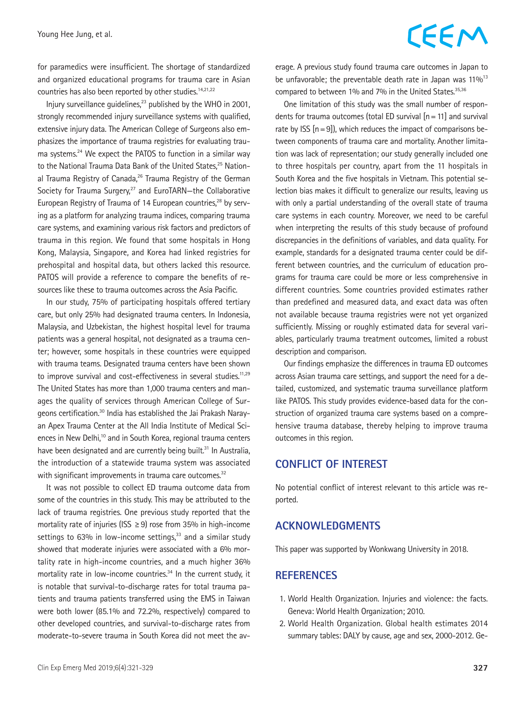for paramedics were insufficient. The shortage of standardized and organized educational programs for trauma care in Asian countries has also been reported by other studies.<sup>14,21,22</sup>

Injury surveillance quidelines, $^{23}$  published by the WHO in 2001, strongly recommended injury surveillance systems with qualified, extensive injury data. The American College of Surgeons also emphasizes the importance of trauma registries for evaluating trauma systems.<sup>24</sup> We expect the PATOS to function in a similar way to the National Trauma Data Bank of the United States.<sup>25</sup> National Trauma Registry of Canada, $26$  Trauma Registry of the German Society for Trauma Surgery,<sup>27</sup> and EuroTARN-the Collaborative European Registry of Trauma of 14 European countries,<sup>28</sup> by serving as a platform for analyzing trauma indices, comparing trauma care systems, and examining various risk factors and predictors of trauma in this region. We found that some hospitals in Hong Kong, Malaysia, Singapore, and Korea had linked registries for prehospital and hospital data, but others lacked this resource. PATOS will provide a reference to compare the benefits of resources like these to trauma outcomes across the Asia Pacific.

In our study, 75% of participating hospitals offered tertiary care, but only 25% had designated trauma centers. In Indonesia, Malaysia, and Uzbekistan, the highest hospital level for trauma patients was a general hospital, not designated as a trauma center; however, some hospitals in these countries were equipped with trauma teams. Designated trauma centers have been shown to improve survival and cost-effectiveness in several studies.<sup>11,29</sup> The United States has more than 1,000 trauma centers and manages the quality of services through American College of Surgeons certification.30 India has established the Jai Prakash Narayan Apex Trauma Center at the All India Institute of Medical Sciences in New Delhi,<sup>10</sup> and in South Korea, regional trauma centers have been designated and are currently being built.<sup>31</sup> In Australia, the introduction of a statewide trauma system was associated with significant improvements in trauma care outcomes.<sup>32</sup>

It was not possible to collect ED trauma outcome data from some of the countries in this study. This may be attributed to the lack of trauma registries. One previous study reported that the mortality rate of injuries (ISS  $\geq$  9) rose from 35% in high-income settings to  $63\%$  in low-income settings, $33$  and a similar study showed that moderate injuries were associated with a 6% mortality rate in high-income countries, and a much higher 36% mortality rate in low-income countries.<sup>34</sup> In the current study, it is notable that survival-to-discharge rates for total trauma patients and trauma patients transferred using the EMS in Taiwan were both lower (85.1% and 72.2%, respectively) compared to other developed countries, and survival-to-discharge rates from moderate-to-severe trauma in South Korea did not meet the average. A previous study found trauma care outcomes in Japan to be unfavorable; the preventable death rate in Japan was  $11\%^{13}$ compared to between 1% and 7% in the United States.<sup>35,36</sup>

One limitation of this study was the small number of respondents for trauma outcomes (total ED survival  $[n=11]$  and survival rate by ISS  $[n=9]$ , which reduces the impact of comparisons between components of trauma care and mortality. Another limitation was lack of representation; our study generally included one to three hospitals per country, apart from the 11 hospitals in South Korea and the five hospitals in Vietnam. This potential selection bias makes it difficult to generalize our results, leaving us with only a partial understanding of the overall state of trauma care systems in each country. Moreover, we need to be careful when interpreting the results of this study because of profound discrepancies in the definitions of variables, and data quality. For example, standards for a designated trauma center could be different between countries, and the curriculum of education programs for trauma care could be more or less comprehensive in different countries. Some countries provided estimates rather than predefined and measured data, and exact data was often not available because trauma registries were not yet organized sufficiently. Missing or roughly estimated data for several variables, particularly trauma treatment outcomes, limited a robust description and comparison.

Our findings emphasize the differences in trauma ED outcomes across Asian trauma care settings, and support the need for a detailed, customized, and systematic trauma surveillance platform like PATOS. This study provides evidence-based data for the construction of organized trauma care systems based on a comprehensive trauma database, thereby helping to improve trauma outcomes in this region.

### **CONFLICT OF INTEREST**

No potential conflict of interest relevant to this article was reported.

### **ACKNOWLEDGMENTS**

This paper was supported by Wonkwang University in 2018.

### **REFERENCES**

- 1. World Health Organization. Injuries and violence: the facts. Geneva: World Health Organization; 2010.
- 2. World Health Organization. Global health estimates 2014 summary tables: DALY by cause, age and sex, 2000-2012. Ge-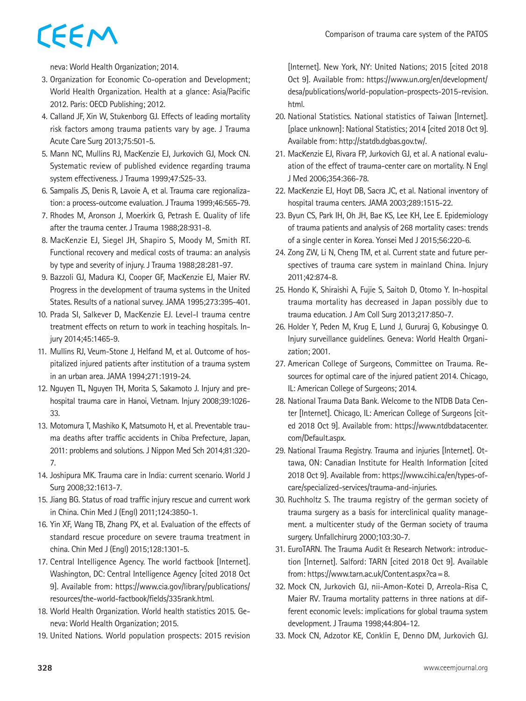neva: World Health Organization; 2014.

- 3. Organization for Economic Co-operation and Development; World Health Organization. Health at a glance: Asia/Pacific 2012. Paris: OECD Publishing; 2012.
- 4. Calland JF, Xin W, Stukenborg GJ. Effects of leading mortality risk factors among trauma patients vary by age. J Trauma Acute Care Surg 2013;75:501-5.
- 5. Mann NC, Mullins RJ, MacKenzie EJ, Jurkovich GJ, Mock CN. Systematic review of published evidence regarding trauma system effectiveness. J Trauma 1999;47:S25-33.
- 6. Sampalis JS, Denis R, Lavoie A, et al. Trauma care regionalization: a process-outcome evaluation. J Trauma 1999;46:565-79.
- 7. Rhodes M, Aronson J, Moerkirk G, Petrash E. Quality of life after the trauma center. J Trauma 1988;28:931-8.
- 8. MacKenzie EJ, Siegel JH, Shapiro S, Moody M, Smith RT. Functional recovery and medical costs of trauma: an analysis by type and severity of injury. J Trauma 1988;28:281-97.
- 9. Bazzoli GJ, Madura KJ, Cooper GF, MacKenzie EJ, Maier RV. Progress in the development of trauma systems in the United States. Results of a national survey. JAMA 1995;273:395-401.
- 10. Prada SI, Salkever D, MacKenzie EJ. Level-I trauma centre treatment effects on return to work in teaching hospitals. Injury 2014;45:1465-9.
- 11. Mullins RJ, Veum-Stone J, Helfand M, et al. Outcome of hospitalized injured patients after institution of a trauma system in an urban area. JAMA 1994;271:1919-24.
- 12. Nguyen TL, Nguyen TH, Morita S, Sakamoto J. Injury and prehospital trauma care in Hanoi, Vietnam. Injury 2008;39:1026- 33.
- 13. Motomura T, Mashiko K, Matsumoto H, et al. Preventable trauma deaths after traffic accidents in Chiba Prefecture, Japan, 2011: problems and solutions. J Nippon Med Sch 2014;81:320- 7.
- 14. Joshipura MK. Trauma care in India: current scenario. World J Surg 2008;32:1613-7.
- 15. Jiang BG. Status of road traffic injury rescue and current work in China. Chin Med J (Engl) 2011;124:3850-1.
- 16. Yin XF, Wang TB, Zhang PX, et al. Evaluation of the effects of standard rescue procedure on severe trauma treatment in china. Chin Med J (Engl) 2015;128:1301-5.
- 17. Central Intelligence Agency. The world factbook [Internet]. Washington, DC: Central Intelligence Agency [cited 2018 Oct 9]. Available from: [https://www.cia.gov/library/publications/](https://www.cia.gov/library/publications/resources/the-world-factbook/fields/335rank.html) [resources/the-world-factbook/fields/335rank.html](https://www.cia.gov/library/publications/resources/the-world-factbook/fields/335rank.html).
- 18. World Health Organization. World health statistics 2015. Geneva: World Health Organization; 2015.
- 19. United Nations. World population prospects: 2015 revision

[Internet]. New York, NY: United Nations; 2015 [cited 2018 Oct 9]. Available from: https://www.un.org/en/development/ desa/publications/world-population-prospects-2015-revision. html.

- 20. National Statistics. National statistics of Taiwan [Internet]. [place unknown]: National Statistics; 2014 [cited 2018 Oct 9]. Available from: http://statdb.dgbas.gov.tw/.
- 21. MacKenzie EJ, Rivara FP, Jurkovich GJ, et al. A national evaluation of the effect of trauma-center care on mortality. N Engl J Med 2006;354:366-78.
- 22. MacKenzie EJ, Hoyt DB, Sacra JC, et al. National inventory of hospital trauma centers. JAMA 2003;289:1515-22.
- 23. Byun CS, Park IH, Oh JH, Bae KS, Lee KH, Lee E. Epidemiology of trauma patients and analysis of 268 mortality cases: trends of a single center in Korea. Yonsei Med J 2015;56:220-6.
- 24. Zong ZW, Li N, Cheng TM, et al. Current state and future perspectives of trauma care system in mainland China. Injury 2011;42:874-8.
- 25. Hondo K, Shiraishi A, Fujie S, Saitoh D, Otomo Y. In-hospital trauma mortality has decreased in Japan possibly due to trauma education. J Am Coll Surg 2013;217:850-7.
- 26. Holder Y, Peden M, Krug E, Lund J, Gururaj G, Kobusingye O. Injury surveillance guidelines. Geneva: World Health Organization; 2001.
- 27. American College of Surgeons, Committee on Trauma. Resources for optimal care of the injured patient 2014. Chicago, IL: American College of Surgeons; 2014.
- 28. National Trauma Data Bank. Welcome to the NTDB Data Center [Internet]. Chicago, IL: American College of Surgeons [cited 2018 Oct 9]. Available from: https://www.ntdbdatacenter. com/Default.aspx.
- 29. National Trauma Registry. Trauma and injuries [Internet]. Ottawa, ON: Canadian Institute for Health Information [cited 2018 Oct 9]. Available from: https://www.cihi.ca/en/types-ofcare/specialized-services/trauma-and-injuries.
- 30. Ruchholtz S. The trauma registry of the german society of trauma surgery as a basis for interclinical quality management. a multicenter study of the German society of trauma surgery. Unfallchirurg 2000;103:30-7.
- 31. EuroTARN. The Trauma Audit & Research Network: introduction [Internet]. Salford: TARN [cited 2018 Oct 9]. Available from: https://www.tarn.ac.uk/Content.aspx?ca=8.
- 32. Mock CN, Jurkovich GJ, nii-Amon-Kotei D, Arreola-Risa C, Maier RV. Trauma mortality patterns in three nations at different economic levels: implications for global trauma system development. J Trauma 1998;44:804-12.
- 33. Mock CN, Adzotor KE, Conklin E, Denno DM, Jurkovich GJ.